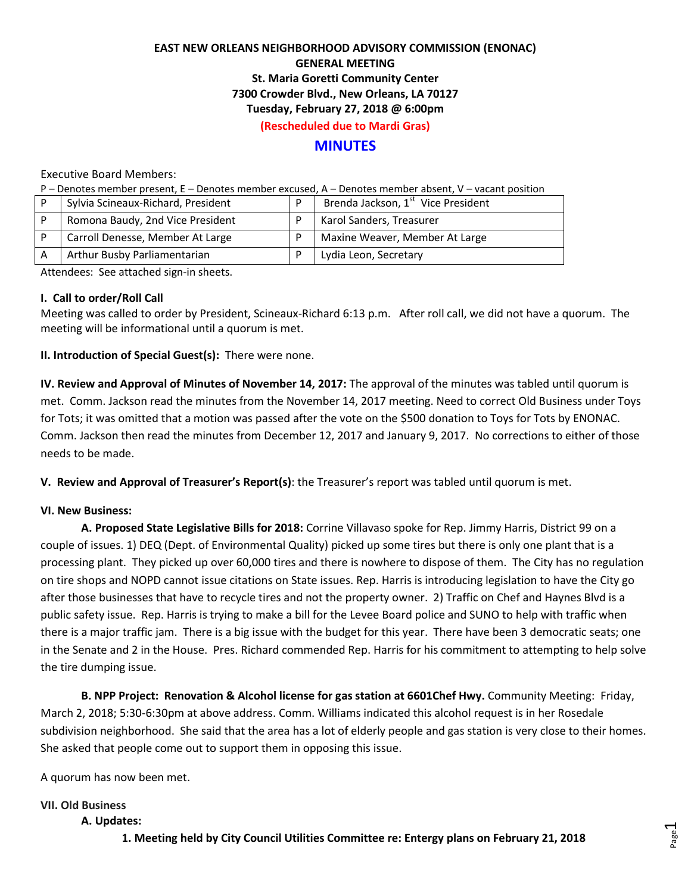## **EAST NEW ORLEANS NEIGHBORHOOD ADVISORY COMMISSION (ENONAC) GENERAL MEETING St. Maria Goretti Community Center 7300 Crowder Blvd., New Orleans, LA 70127 Tuesday, February 27, 2018 @ 6:00pm (Rescheduled due to Mardi Gras)**

## **MINUTES**

Executive Board Members:

P – Denotes member present, E – Denotes member excused, A – Denotes member absent, V – vacant position

| Sylvia Scineaux-Richard, President | D | Brenda Jackson, 1 <sup>st</sup> Vice President |
|------------------------------------|---|------------------------------------------------|
| Romona Baudy, 2nd Vice President   |   | Karol Sanders, Treasurer                       |
| Carroll Denesse, Member At Large   |   | Maxine Weaver, Member At Large                 |
| Arthur Busby Parliamentarian       |   | Lydia Leon, Secretary                          |

Attendees: See attached sign-in sheets.

#### **I. Call to order/Roll Call**

Meeting was called to order by President, Scineaux-Richard 6:13 p.m. After roll call, we did not have a quorum. The meeting will be informational until a quorum is met.

#### **II. Introduction of Special Guest(s):** There were none.

**IV. Review and Approval of Minutes of November 14, 2017:** The approval of the minutes was tabled until quorum is met. Comm. Jackson read the minutes from the November 14, 2017 meeting. Need to correct Old Business under Toys for Tots; it was omitted that a motion was passed after the vote on the \$500 donation to Toys for Tots by ENONAC. Comm. Jackson then read the minutes from December 12, 2017 and January 9, 2017. No corrections to either of those needs to be made.

**V. Review and Approval of Treasurer's Report(s)**: the Treasurer's report was tabled until quorum is met.

## **VI. New Business:**

**A. Proposed State Legislative Bills for 2018:** Corrine Villavaso spoke for Rep. Jimmy Harris, District 99 on a couple of issues. 1) DEQ (Dept. of Environmental Quality) picked up some tires but there is only one plant that is a processing plant. They picked up over 60,000 tires and there is nowhere to dispose of them. The City has no regulation on tire shops and NOPD cannot issue citations on State issues. Rep. Harris is introducing legislation to have the City go after those businesses that have to recycle tires and not the property owner. 2) Traffic on Chef and Haynes Blvd is a public safety issue. Rep. Harris is trying to make a bill for the Levee Board police and SUNO to help with traffic when there is a major traffic jam. There is a big issue with the budget for this year. There have been 3 democratic seats; one in the Senate and 2 in the House. Pres. Richard commended Rep. Harris for his commitment to attempting to help solve the tire dumping issue.

**B. NPP Project: Renovation & Alcohol license for gas station at 6601Chef Hwy.** Community Meeting: Friday, March 2, 2018; 5:30-6:30pm at above address. Comm. Williams indicated this alcohol request is in her Rosedale subdivision neighborhood. She said that the area has a lot of elderly people and gas station is very close to their homes. She asked that people come out to support them in opposing this issue.

A quorum has now been met.

## **VII. Old Business**

#### **A. Updates:**

**1. Meeting held by City Council Utilities Committee re: Entergy plans on February 21, 2018**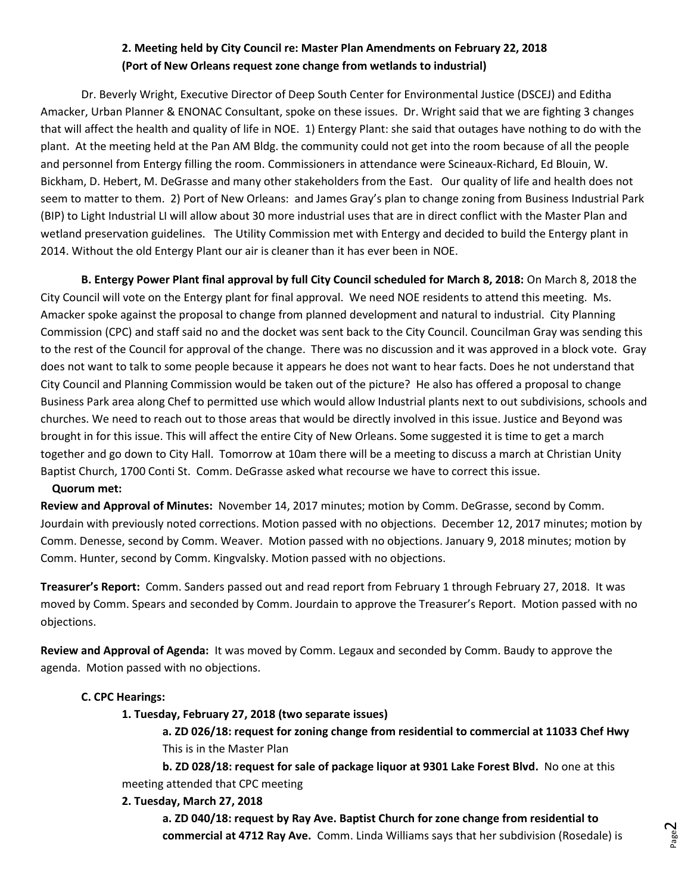# **2. Meeting held by City Council re: Master Plan Amendments on February 22, 2018 (Port of New Orleans request zone change from wetlands to industrial)**

Dr. Beverly Wright, Executive Director of Deep South Center for Environmental Justice (DSCEJ) and Editha Amacker, Urban Planner & ENONAC Consultant, spoke on these issues. Dr. Wright said that we are fighting 3 changes that will affect the health and quality of life in NOE. 1) Entergy Plant: she said that outages have nothing to do with the plant. At the meeting held at the Pan AM Bldg. the community could not get into the room because of all the people and personnel from Entergy filling the room. Commissioners in attendance were Scineaux-Richard, Ed Blouin, W. Bickham, D. Hebert, M. DeGrasse and many other stakeholders from the East. Our quality of life and health does not seem to matter to them. 2) Port of New Orleans: and James Gray's plan to change zoning from Business Industrial Park (BIP) to Light Industrial LI will allow about 30 more industrial uses that are in direct conflict with the Master Plan and wetland preservation guidelines. The Utility Commission met with Entergy and decided to build the Entergy plant in 2014. Without the old Entergy Plant our air is cleaner than it has ever been in NOE.

**B. Entergy Power Plant final approval by full City Council scheduled for March 8, 2018:** On March 8, 2018 the City Council will vote on the Entergy plant for final approval. We need NOE residents to attend this meeting. Ms. Amacker spoke against the proposal to change from planned development and natural to industrial. City Planning Commission (CPC) and staff said no and the docket was sent back to the City Council. Councilman Gray was sending this to the rest of the Council for approval of the change. There was no discussion and it was approved in a block vote. Gray does not want to talk to some people because it appears he does not want to hear facts. Does he not understand that City Council and Planning Commission would be taken out of the picture? He also has offered a proposal to change Business Park area along Chef to permitted use which would allow Industrial plants next to out subdivisions, schools and churches. We need to reach out to those areas that would be directly involved in this issue. Justice and Beyond was brought in for this issue. This will affect the entire City of New Orleans. Some suggested it is time to get a march together and go down to City Hall. Tomorrow at 10am there will be a meeting to discuss a march at Christian Unity Baptist Church, 1700 Conti St. Comm. DeGrasse asked what recourse we have to correct this issue.

#### **Quorum met:**

**Review and Approval of Minutes:** November 14, 2017 minutes; motion by Comm. DeGrasse, second by Comm. Jourdain with previously noted corrections. Motion passed with no objections. December 12, 2017 minutes; motion by Comm. Denesse, second by Comm. Weaver. Motion passed with no objections. January 9, 2018 minutes; motion by Comm. Hunter, second by Comm. Kingvalsky. Motion passed with no objections.

**Treasurer's Report:** Comm. Sanders passed out and read report from February 1 through February 27, 2018. It was moved by Comm. Spears and seconded by Comm. Jourdain to approve the Treasurer's Report. Motion passed with no objections.

**Review and Approval of Agenda:** It was moved by Comm. Legaux and seconded by Comm. Baudy to approve the agenda. Motion passed with no objections.

## **C. CPC Hearings:**

## **1. Tuesday, February 27, 2018 (two separate issues)**

**a. ZD 026/18: request for zoning change from residential to commercial at 11033 Chef Hwy**  This is in the Master Plan

**b. ZD 028/18: request for sale of package liquor at 9301 Lake Forest Blvd.** No one at this meeting attended that CPC meeting

## **2. Tuesday, March 27, 2018**

**a. ZD 040/18: request by Ray Ave. Baptist Church for zone change from residential to commercial at 4712 Ray Ave.** Comm. Linda Williams says that her subdivision (Rosedale) is